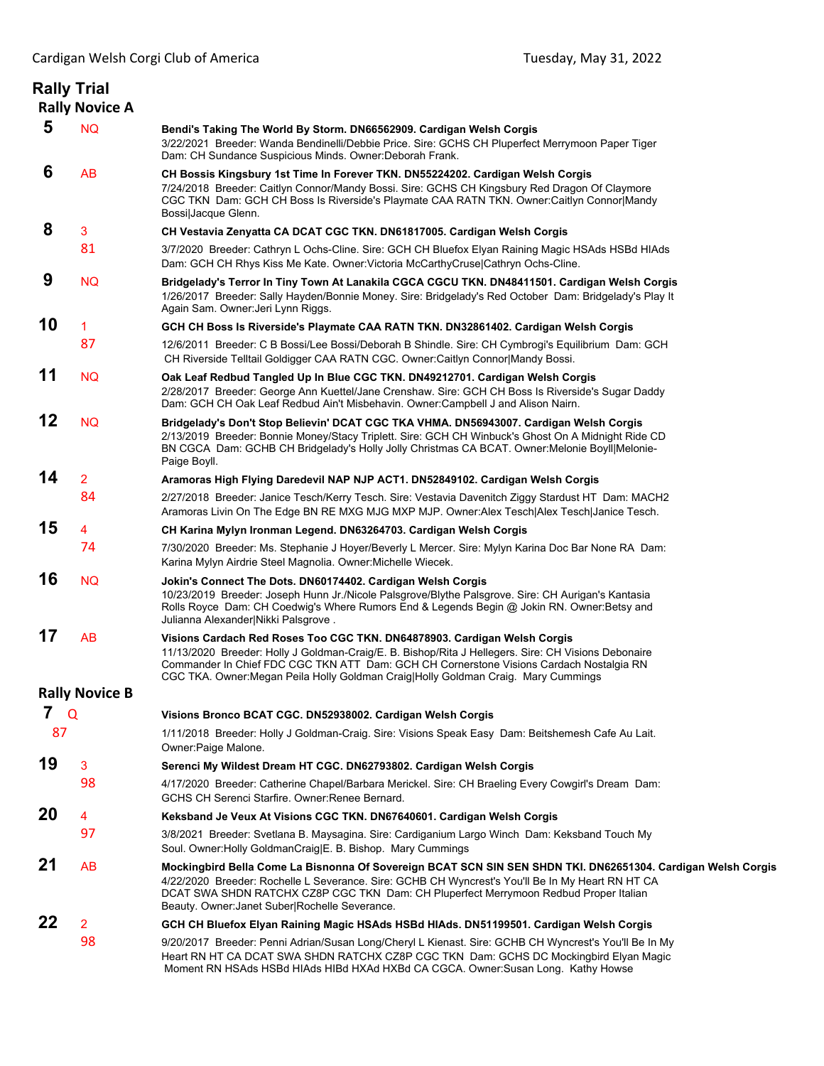|    | <b>Rally Trial</b>    |                                                                                                                                                                                                                                                                                                                                                                  |
|----|-----------------------|------------------------------------------------------------------------------------------------------------------------------------------------------------------------------------------------------------------------------------------------------------------------------------------------------------------------------------------------------------------|
|    | <b>Rally Novice A</b> |                                                                                                                                                                                                                                                                                                                                                                  |
| 5  | <b>NQ</b>             | Bendi's Taking The World By Storm. DN66562909. Cardigan Welsh Corgis<br>3/22/2021 Breeder: Wanda Bendinelli/Debbie Price. Sire: GCHS CH Pluperfect Merrymoon Paper Tiger<br>Dam: CH Sundance Suspicious Minds. Owner: Deborah Frank.                                                                                                                             |
| 6  | <b>AB</b>             | CH Bossis Kingsbury 1st Time In Forever TKN. DN55224202. Cardigan Welsh Corgis<br>7/24/2018 Breeder: Caitlyn Connor/Mandy Bossi. Sire: GCHS CH Kingsbury Red Dragon Of Claymore<br>CGC TKN Dam: GCH CH Boss Is Riverside's Playmate CAA RATN TKN. Owner:Caitlyn Connor Mandy<br>Bossi Jacque Glenn.                                                              |
| 8  | 3                     | CH Vestavia Zenyatta CA DCAT CGC TKN. DN61817005. Cardigan Welsh Corgis                                                                                                                                                                                                                                                                                          |
|    | 81                    | 3/7/2020 Breeder: Cathryn L Ochs-Cline. Sire: GCH CH Bluefox Elyan Raining Magic HSAds HSBd HIAds<br>Dam: GCH CH Rhys Kiss Me Kate. Owner: Victoria McCarthyCruse Cathryn Ochs-Cline.                                                                                                                                                                            |
| 9  | <b>NQ</b>             | Bridgelady's Terror In Tiny Town At Lanakila CGCA CGCU TKN. DN48411501. Cardigan Welsh Corgis<br>1/26/2017 Breeder: Sally Hayden/Bonnie Money. Sire: Bridgelady's Red October Dam: Bridgelady's Play It<br>Again Sam. Owner: Jeri Lynn Riggs.                                                                                                                    |
| 10 | $\mathbf{1}$          | GCH CH Boss Is Riverside's Playmate CAA RATN TKN. DN32861402. Cardigan Welsh Corgis                                                                                                                                                                                                                                                                              |
|    | 87                    | 12/6/2011 Breeder: C B Bossi/Lee Bossi/Deborah B Shindle. Sire: CH Cymbrogi's Equilibrium Dam: GCH<br>CH Riverside Telltail Goldigger CAA RATN CGC. Owner:Caitlyn Connor Mandy Bossi.                                                                                                                                                                            |
| 11 | <b>NQ</b>             | Oak Leaf Redbud Tangled Up In Blue CGC TKN. DN49212701. Cardigan Welsh Corgis<br>2/28/2017 Breeder: George Ann Kuettel/Jane Crenshaw. Sire: GCH CH Boss Is Riverside's Sugar Daddy<br>Dam: GCH CH Oak Leaf Redbud Ain't Misbehavin. Owner:Campbell J and Alison Nairn.                                                                                           |
| 12 | <b>NQ</b>             | Bridgelady's Don't Stop Believin' DCAT CGC TKA VHMA. DN56943007. Cardigan Welsh Corgis<br>2/13/2019 Breeder: Bonnie Money/Stacy Triplett. Sire: GCH CH Winbuck's Ghost On A Midnight Ride CD<br>BN CGCA Dam: GCHB CH Bridgelady's Holly Jolly Christmas CA BCAT. Owner: Melonie Boyll Melonie-<br>Paige Boyll.                                                   |
| 14 | 2                     | Aramoras High Flying Daredevil NAP NJP ACT1. DN52849102. Cardigan Welsh Corgis                                                                                                                                                                                                                                                                                   |
|    | 84                    | 2/27/2018 Breeder: Janice Tesch/Kerry Tesch. Sire: Vestavia Davenitch Ziggy Stardust HT Dam: MACH2<br>Aramoras Livin On The Edge BN RE MXG MJG MXP MJP. Owner:Alex Tesch Alex Tesch Janice Tesch.                                                                                                                                                                |
| 15 | 4                     | CH Karina Mylyn Ironman Legend. DN63264703. Cardigan Welsh Corgis                                                                                                                                                                                                                                                                                                |
|    | 74                    | 7/30/2020 Breeder: Ms. Stephanie J Hoyer/Beverly L Mercer. Sire: Mylyn Karina Doc Bar None RA Dam:<br>Karina Mylyn Airdrie Steel Magnolia. Owner: Michelle Wiecek.                                                                                                                                                                                               |
| 16 | <b>NQ</b>             | Jokin's Connect The Dots. DN60174402. Cardigan Welsh Corgis<br>10/23/2019 Breeder: Joseph Hunn Jr./Nicole Palsgrove/Blythe Palsgrove. Sire: CH Aurigan's Kantasia<br>Rolls Royce Dam: CH Coedwig's Where Rumors End & Legends Begin @ Jokin RN. Owner: Betsy and<br>Julianna Alexander Nikki Palsgrove.                                                          |
| 17 | <b>AB</b>             | Visions Cardach Red Roses Too CGC TKN. DN64878903. Cardigan Welsh Corgis<br>11/13/2020 Breeder: Holly J Goldman-Craig/E. B. Bishop/Rita J Hellegers. Sire: CH Visions Debonaire<br>Commander In Chief FDC CGC TKN ATT Dam: GCH CH Cornerstone Visions Cardach Nostalgia RN<br>CGC TKA. Owner: Megan Peila Holly Goldman Craig Holly Goldman Craig. Mary Cummings |
|    | <b>Rally Novice B</b> |                                                                                                                                                                                                                                                                                                                                                                  |
| 7Q |                       | Visions Bronco BCAT CGC. DN52938002. Cardigan Welsh Corgis                                                                                                                                                                                                                                                                                                       |
| 87 |                       | 1/11/2018 Breeder: Holly J Goldman-Craig. Sire: Visions Speak Easy Dam: Beitshemesh Cafe Au Lait.<br>Owner: Paige Malone.                                                                                                                                                                                                                                        |
| 19 | 3                     | Serenci My Wildest Dream HT CGC. DN62793802. Cardigan Welsh Corgis                                                                                                                                                                                                                                                                                               |
|    | 98                    | 4/17/2020 Breeder: Catherine Chapel/Barbara Merickel. Sire: CH Braeling Every Cowgirl's Dream Dam:<br>GCHS CH Serenci Starfire, Owner: Renee Bernard,                                                                                                                                                                                                            |
| 20 | 4                     | Keksband Je Veux At Visions CGC TKN. DN67640601. Cardigan Welsh Corgis                                                                                                                                                                                                                                                                                           |
|    | 97                    | 3/8/2021 Breeder: Svetlana B. Maysagina. Sire: Cardiganium Largo Winch Dam: Keksband Touch My<br>Soul. Owner: Holly GoldmanCraig E. B. Bishop. Mary Cummings                                                                                                                                                                                                     |
| 21 | AB                    | Mockingbird Bella Come La Bisnonna Of Sovereign BCAT SCN SIN SEN SHDN TKI. DN62651304. Cardigan Welsh Corgis<br>4/22/2020 Breeder: Rochelle L Severance. Sire: GCHB CH Wyncrest's You'll Be In My Heart RN HT CA<br>DCAT SWA SHDN RATCHX CZ8P CGC TKN Dam: CH Pluperfect Merrymoon Redbud Proper Italian<br>Beauty. Owner: Janet Suber Rochelle Severance.       |
| 22 | 2                     | GCH CH Bluefox Elyan Raining Magic HSAds HSBd HIAds. DN51199501. Cardigan Welsh Corgis                                                                                                                                                                                                                                                                           |
|    | 98                    | 9/20/2017 Breeder: Penni Adrian/Susan Long/Cheryl L Kienast. Sire: GCHB CH Wyncrest's You'll Be In My<br>Heart RN HT CA DCAT SWA SHDN RATCHX CZ8P CGC TKN Dam: GCHS DC Mockingbird Elyan Magic<br>Moment RN HSAds HSBd HIAds HIBd HXAd HXBd CA CGCA. Owner:Susan Long. Kathy Howse                                                                               |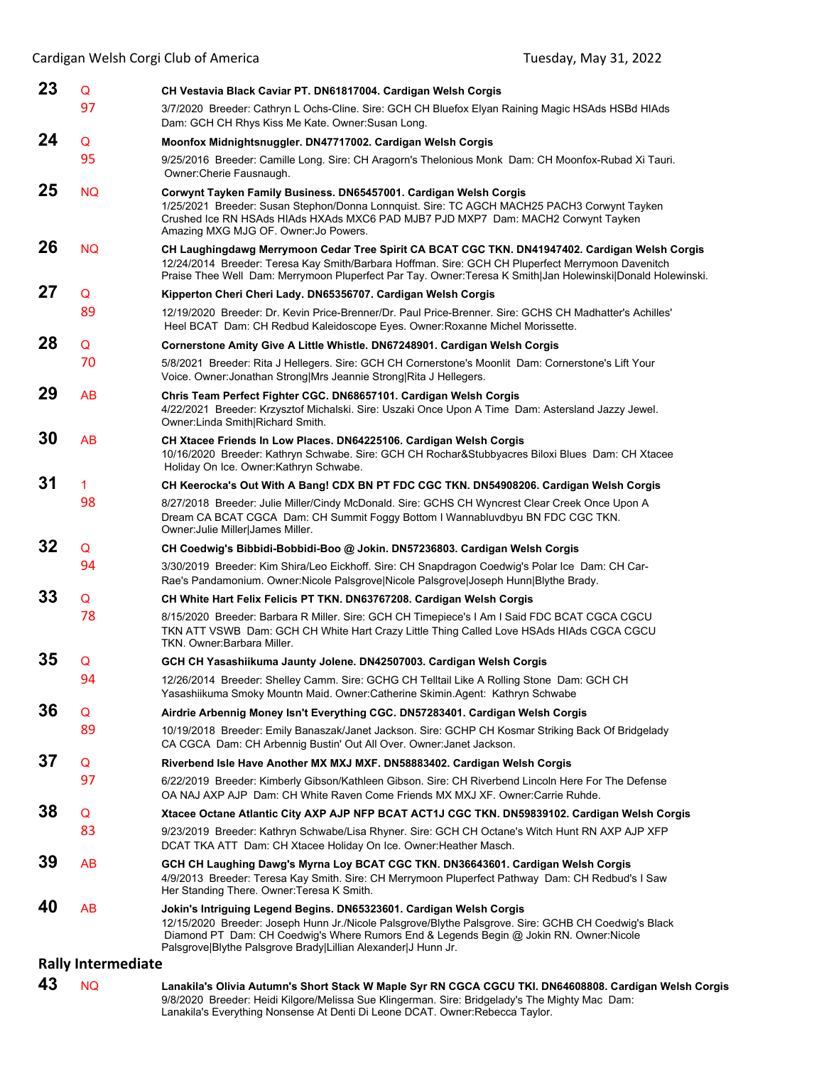|    |                           | Cardigan Welsh Corgi Club of America                                                                                                                                                                                                                                                                                                    | Tuesday, May 31, 2022                                                                                       |
|----|---------------------------|-----------------------------------------------------------------------------------------------------------------------------------------------------------------------------------------------------------------------------------------------------------------------------------------------------------------------------------------|-------------------------------------------------------------------------------------------------------------|
| 23 | Q                         | CH Vestavia Black Caviar PT. DN61817004. Cardigan Welsh Corgis                                                                                                                                                                                                                                                                          |                                                                                                             |
|    | 97                        | 3/7/2020 Breeder: Cathryn L Ochs-Cline. Sire: GCH CH Bluefox Elyan Raining Magic HSAds HSBd HIAds<br>Dam: GCH CH Rhys Kiss Me Kate. Owner: Susan Long.                                                                                                                                                                                  |                                                                                                             |
| 24 | Q                         | Moonfox Midnightsnuggler. DN47717002. Cardigan Welsh Corgis                                                                                                                                                                                                                                                                             |                                                                                                             |
|    | 95                        | 9/25/2016 Breeder: Camille Long. Sire: CH Aragorn's Thelonious Monk Dam: CH Moonfox-Rubad Xi Tauri.<br>Owner: Cherie Fausnaugh.                                                                                                                                                                                                         |                                                                                                             |
| 25 | <b>NQ</b>                 | Corwynt Tayken Family Business. DN65457001. Cardigan Welsh Corgis<br>1/25/2021 Breeder: Susan Stephon/Donna Lonnquist. Sire: TC AGCH MACH25 PACH3 Corwynt Tayken<br>Crushed Ice RN HSAds HIAds HXAds MXC6 PAD MJB7 PJD MXP7 Dam: MACH2 Corwynt Tayken<br>Amazing MXG MJG OF. Owner: Jo Powers.                                          |                                                                                                             |
| 26 | <b>NQ</b>                 | CH Laughingdawg Merrymoon Cedar Tree Spirit CA BCAT CGC TKN. DN41947402. Cardigan Welsh Corgis<br>12/24/2014 Breeder: Teresa Kay Smith/Barbara Hoffman. Sire: GCH CH Pluperfect Merrymoon Davenitch                                                                                                                                     | Praise Thee Well Dam: Merrymoon Pluperfect Par Tay. Owner: Teresa K Smith Jan Holewinski Donald Holewinski. |
| 27 | Q                         | Kipperton Cheri Cheri Lady. DN65356707. Cardigan Welsh Corgis                                                                                                                                                                                                                                                                           |                                                                                                             |
|    | 89                        | 12/19/2020 Breeder: Dr. Kevin Price-Brenner/Dr. Paul Price-Brenner. Sire: GCHS CH Madhatter's Achilles'<br>Heel BCAT Dam: CH Redbud Kaleidoscope Eyes. Owner: Roxanne Michel Morissette.                                                                                                                                                |                                                                                                             |
| 28 | Q                         | Cornerstone Amity Give A Little Whistle. DN67248901. Cardigan Welsh Corgis                                                                                                                                                                                                                                                              |                                                                                                             |
|    | 70                        | 5/8/2021 Breeder: Rita J Hellegers. Sire: GCH CH Cornerstone's Moonlit Dam: Cornerstone's Lift Your<br>Voice. Owner: Jonathan Strong Mrs Jeannie Strong Rita J Hellegers.                                                                                                                                                               |                                                                                                             |
| 29 | AB                        | Chris Team Perfect Fighter CGC. DN68657101. Cardigan Welsh Corgis<br>4/22/2021 Breeder: Krzysztof Michalski. Sire: Uszaki Once Upon A Time Dam: Astersland Jazzy Jewel.<br>Owner: Linda Smith Richard Smith.                                                                                                                            |                                                                                                             |
| 30 | AB                        | CH Xtacee Friends In Low Places. DN64225106. Cardigan Welsh Corgis<br>10/16/2020 Breeder: Kathryn Schwabe. Sire: GCH CH Rochar&Stubbyacres Biloxi Blues Dam: CH Xtacee<br>Holiday On Ice. Owner: Kathryn Schwabe.                                                                                                                       |                                                                                                             |
| 31 | 1                         | CH Keerocka's Out With A Bang! CDX BN PT FDC CGC TKN. DN54908206. Cardigan Welsh Corgis                                                                                                                                                                                                                                                 |                                                                                                             |
|    | 98                        | 8/27/2018 Breeder: Julie Miller/Cindy McDonald. Sire: GCHS CH Wyncrest Clear Creek Once Upon A<br>Dream CA BCAT CGCA Dam: CH Summit Foggy Bottom I Wannabluvdbyu BN FDC CGC TKN.<br>Owner: Julie Miller James Miller.                                                                                                                   |                                                                                                             |
| 32 | Q                         | CH Coedwig's Bibbidi-Bobbidi-Boo @ Jokin. DN57236803. Cardigan Welsh Corgis                                                                                                                                                                                                                                                             |                                                                                                             |
|    | 94                        | 3/30/2019 Breeder: Kim Shira/Leo Eickhoff. Sire: CH Snapdragon Coedwig's Polar Ice Dam: CH Car-<br>Rae's Pandamonium. Owner:Nicole Palsgrove Nicole Palsgrove Joseph Hunn Blythe Brady.                                                                                                                                                 |                                                                                                             |
| 33 | Q                         | CH White Hart Felix Felicis PT TKN. DN63767208. Cardigan Welsh Corgis                                                                                                                                                                                                                                                                   |                                                                                                             |
|    | 78                        | 8/15/2020 Breeder: Barbara R Miller. Sire: GCH CH Timepiece's I Am I Said FDC BCAT CGCA CGCU<br>TKN ATT VSWB Dam: GCH CH White Hart Crazy Little Thing Called Love HSAds HIAds CGCA CGCU<br>TKN. Owner:Barbara Miller.                                                                                                                  |                                                                                                             |
| 35 | Q                         | GCH CH Yasashiikuma Jaunty Jolene. DN42507003. Cardigan Welsh Corgis                                                                                                                                                                                                                                                                    |                                                                                                             |
|    | 94                        | 12/26/2014 Breeder: Shelley Camm. Sire: GCHG CH Telltail Like A Rolling Stone Dam: GCH CH<br>Yasashiikuma Smoky Mountn Maid. Owner:Catherine Skimin.Agent: Kathryn Schwabe                                                                                                                                                              |                                                                                                             |
| 36 | Q                         | Airdrie Arbennig Money Isn't Everything CGC. DN57283401. Cardigan Welsh Corgis                                                                                                                                                                                                                                                          |                                                                                                             |
|    | 89                        | 10/19/2018 Breeder: Emily Banaszak/Janet Jackson. Sire: GCHP CH Kosmar Striking Back Of Bridgelady<br>CA CGCA Dam: CH Arbennig Bustin' Out All Over. Owner: Janet Jackson.                                                                                                                                                              |                                                                                                             |
| 37 | Q                         | Riverbend Isle Have Another MX MXJ MXF. DN58883402. Cardigan Welsh Corgis                                                                                                                                                                                                                                                               |                                                                                                             |
|    | 97                        | 6/22/2019 Breeder: Kimberly Gibson/Kathleen Gibson. Sire: CH Riverbend Lincoln Here For The Defense<br>OA NAJ AXP AJP Dam: CH White Raven Come Friends MX MXJ XF, Owner:Carrie Ruhde,                                                                                                                                                   |                                                                                                             |
| 38 | Q                         | Xtacee Octane Atlantic City AXP AJP NFP BCAT ACT1J CGC TKN. DN59839102. Cardigan Welsh Corgis                                                                                                                                                                                                                                           |                                                                                                             |
|    | 83                        | 9/23/2019 Breeder: Kathryn Schwabe/Lisa Rhyner. Sire: GCH CH Octane's Witch Hunt RN AXP AJP XFP<br>DCAT TKA ATT Dam: CH Xtacee Holiday On Ice. Owner: Heather Masch.                                                                                                                                                                    |                                                                                                             |
| 39 | AB                        | GCH CH Laughing Dawg's Myrna Loy BCAT CGC TKN. DN36643601. Cardigan Welsh Corgis<br>4/9/2013 Breeder: Teresa Kay Smith. Sire: CH Merrymoon Pluperfect Pathway Dam: CH Redbud's I Saw<br>Her Standing There. Owner: Teresa K Smith.                                                                                                      |                                                                                                             |
| 40 | AB                        | Jokin's Intriguing Legend Begins. DN65323601. Cardigan Welsh Corgis<br>12/15/2020 Breeder: Joseph Hunn Jr./Nicole Palsgrove/Blythe Palsgrove. Sire: GCHB CH Coedwig's Black<br>Diamond PT Dam: CH Coedwig's Where Rumors End & Legends Begin @ Jokin RN. Owner: Nicole<br>Palsgrove Blythe Palsgrove Brady Lillian Alexander J Hunn Jr. |                                                                                                             |
|    | <b>Rally Intermediate</b> |                                                                                                                                                                                                                                                                                                                                         |                                                                                                             |
| 43 | N <sub>O</sub>            |                                                                                                                                                                                                                                                                                                                                         | Lanakila's Olivia Autumn's Short Stack W Manle Syr RN CGCA CGCLLTKL DN64608808, Cardigan Welsh Cou          |

| 43 | <b>NO</b> | Lanakila's Olivia Autumn's Short Stack W Maple Syr RN CGCA CGCU TKI. DN64608808. Cardigan Welsh Corgis |
|----|-----------|--------------------------------------------------------------------------------------------------------|
|    |           | 9/8/2020 Breeder: Heidi Kilgore/Melissa Sue Klingerman. Sire: Bridgelady's The Mighty Mac Dam:         |
|    |           | Lanakila's Everything Nonsense At Denti Di Leone DCAT. Owner:Rebecca Taylor.                           |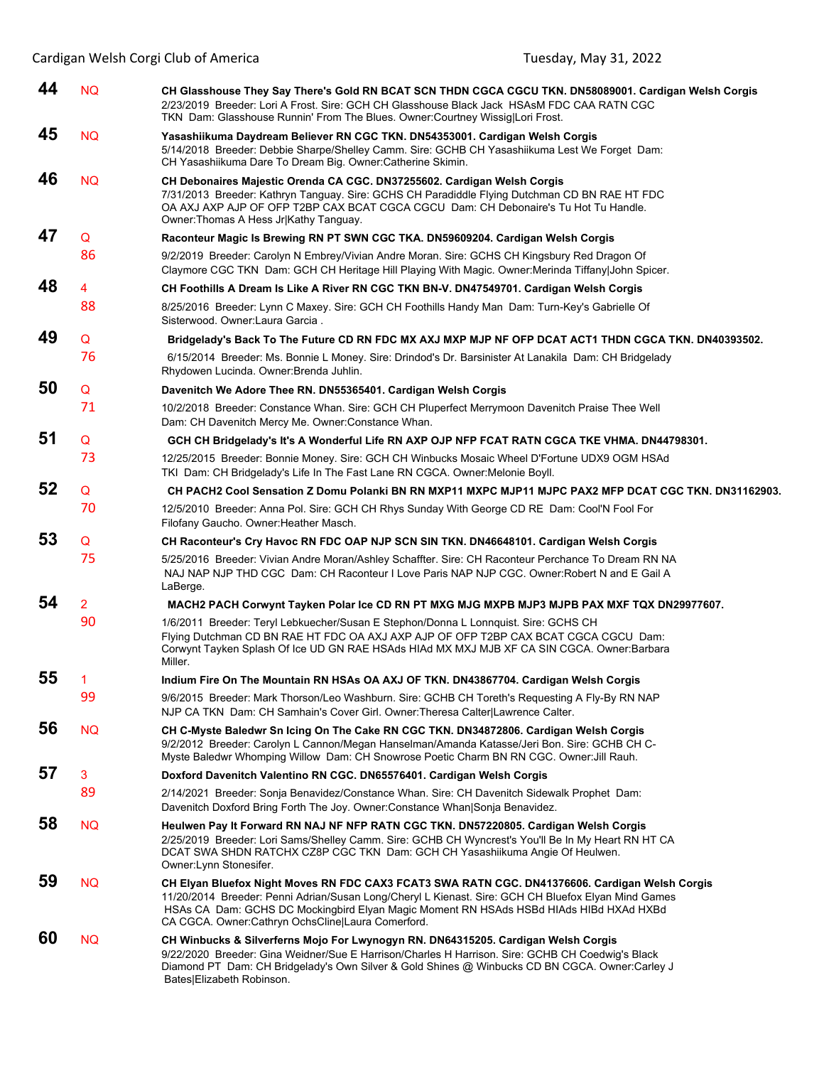| Cardigan Welsh Corgi Club of America |           |                                                                                                                                                                                                                                                                                   | Tuesday, May 31, 2022                                                                                                                                                                                                                                                                           |
|--------------------------------------|-----------|-----------------------------------------------------------------------------------------------------------------------------------------------------------------------------------------------------------------------------------------------------------------------------------|-------------------------------------------------------------------------------------------------------------------------------------------------------------------------------------------------------------------------------------------------------------------------------------------------|
| 44                                   | <b>NQ</b> | 2/23/2019 Breeder: Lori A Frost. Sire: GCH CH Glasshouse Black Jack HSAsM FDC CAA RATN CGC<br>TKN Dam: Glasshouse Runnin' From The Blues. Owner: Courtney Wissig Lori Frost.                                                                                                      | CH Glasshouse They Say There's Gold RN BCAT SCN THDN CGCA CGCU TKN. DN58089001. Cardigan Welsh Corgis                                                                                                                                                                                           |
| 45                                   | <b>NQ</b> | Yasashiikuma Daydream Believer RN CGC TKN. DN54353001. Cardigan Welsh Corgis<br>CH Yasashiikuma Dare To Dream Big. Owner: Catherine Skimin.                                                                                                                                       | 5/14/2018 Breeder: Debbie Sharpe/Shelley Camm. Sire: GCHB CH Yasashiikuma Lest We Forget Dam:                                                                                                                                                                                                   |
| 46                                   | <b>NQ</b> | CH Debonaires Majestic Orenda CA CGC. DN37255602. Cardigan Welsh Corgis<br>OA AXJ AXP AJP OF OFP T2BP CAX BCAT CGCA CGCU Dam: CH Debonaire's Tu Hot Tu Handle.<br>Owner: Thomas A Hess Jr Kathy Tanguay.                                                                          | 7/31/2013 Breeder: Kathryn Tanguay. Sire: GCHS CH Paradiddle Flying Dutchman CD BN RAE HT FDC                                                                                                                                                                                                   |
| 47                                   | Q         | Raconteur Magic Is Brewing RN PT SWN CGC TKA. DN59609204. Cardigan Welsh Corgis                                                                                                                                                                                                   |                                                                                                                                                                                                                                                                                                 |
|                                      | 86        | 9/2/2019 Breeder: Carolyn N Embrey/Vivian Andre Moran. Sire: GCHS CH Kingsbury Red Dragon Of                                                                                                                                                                                      | Claymore CGC TKN Dam: GCH CH Heritage Hill Playing With Magic. Owner: Merinda Tiffany John Spicer.                                                                                                                                                                                              |
| 48                                   | 4<br>88   | CH Foothills A Dream Is Like A River RN CGC TKN BN-V. DN47549701. Cardigan Welsh Corgis<br>8/25/2016 Breeder: Lynn C Maxey. Sire: GCH CH Foothills Handy Man Dam: Turn-Key's Gabrielle Of<br>Sisterwood. Owner:Laura Garcia.                                                      |                                                                                                                                                                                                                                                                                                 |
| 49                                   | Q         |                                                                                                                                                                                                                                                                                   | Bridgelady's Back To The Future CD RN FDC MX AXJ MXP MJP NF OFP DCAT ACT1 THDN CGCA TKN. DN40393502.                                                                                                                                                                                            |
|                                      | 76        | Rhydowen Lucinda. Owner: Brenda Juhlin.                                                                                                                                                                                                                                           | 6/15/2014 Breeder: Ms. Bonnie L Money. Sire: Drindod's Dr. Barsinister At Lanakila Dam: CH Bridgelady                                                                                                                                                                                           |
| 50                                   | Q         | Davenitch We Adore Thee RN. DN55365401. Cardigan Welsh Corgis                                                                                                                                                                                                                     |                                                                                                                                                                                                                                                                                                 |
|                                      | 71        | Dam: CH Davenitch Mercy Me. Owner:Constance Whan.                                                                                                                                                                                                                                 | 10/2/2018 Breeder: Constance Whan. Sire: GCH CH Pluperfect Merrymoon Davenitch Praise Thee Well                                                                                                                                                                                                 |
| 51                                   | Q         |                                                                                                                                                                                                                                                                                   | GCH CH Bridgelady's It's A Wonderful Life RN AXP OJP NFP FCAT RATN CGCA TKE VHMA. DN44798301.                                                                                                                                                                                                   |
|                                      | 73        | TKI Dam: CH Bridgelady's Life In The Fast Lane RN CGCA. Owner: Melonie Boyll.                                                                                                                                                                                                     | 12/25/2015 Breeder: Bonnie Money. Sire: GCH CH Winbucks Mosaic Wheel D'Fortune UDX9 OGM HSAd                                                                                                                                                                                                    |
| 52                                   | Q         |                                                                                                                                                                                                                                                                                   | CH PACH2 Cool Sensation Z Domu Polanki BN RN MXP11 MXPC MJP11 MJPC PAX2 MFP DCAT CGC TKN. DN31162903.                                                                                                                                                                                           |
|                                      | 70        | 12/5/2010 Breeder: Anna Pol. Sire: GCH CH Rhys Sunday With George CD RE Dam: Cool'N Fool For<br>Filofany Gaucho. Owner: Heather Masch.                                                                                                                                            |                                                                                                                                                                                                                                                                                                 |
| 53                                   | Q         | CH Raconteur's Cry Havoc RN FDC OAP NJP SCN SIN TKN. DN46648101. Cardigan Welsh Corgis                                                                                                                                                                                            |                                                                                                                                                                                                                                                                                                 |
|                                      | 75        | LaBerge.                                                                                                                                                                                                                                                                          | 5/25/2016 Breeder: Vivian Andre Moran/Ashley Schaffter. Sire: CH Raconteur Perchance To Dream RN NA<br>NAJ NAP NJP THD CGC Dam: CH Raconteur I Love Paris NAP NJP CGC. Owner:Robert N and E Gail A                                                                                              |
| 54                                   | 2         |                                                                                                                                                                                                                                                                                   | MACH2 PACH Corwynt Tayken Polar Ice CD RN PT MXG MJG MXPB MJP3 MJPB PAX MXF TQX DN29977607.                                                                                                                                                                                                     |
|                                      | 90        | 1/6/2011 Breeder: Teryl Lebkuecher/Susan E Stephon/Donna L Lonnquist. Sire: GCHS CH<br>Miller.                                                                                                                                                                                    | Flying Dutchman CD BN RAE HT FDC OA AXJ AXP AJP OF OFP T2BP CAX BCAT CGCA CGCU Dam:<br>Corwynt Tayken Splash Of Ice UD GN RAE HSAds HIAd MX MXJ MJB XF CA SIN CGCA. Owner:Barbara                                                                                                               |
| 55                                   | 1         | Indium Fire On The Mountain RN HSAs OA AXJ OF TKN. DN43867704. Cardigan Welsh Corgis                                                                                                                                                                                              |                                                                                                                                                                                                                                                                                                 |
|                                      | 99        | NJP CA TKN Dam: CH Samhain's Cover Girl. Owner: Theresa Calter Lawrence Calter.                                                                                                                                                                                                   | 9/6/2015 Breeder: Mark Thorson/Leo Washburn. Sire: GCHB CH Toreth's Requesting A Fly-By RN NAP                                                                                                                                                                                                  |
| 56                                   | <b>NQ</b> | CH C-Myste Baledwr Sn Icing On The Cake RN CGC TKN. DN34872806. Cardigan Welsh Corgis<br>9/2/2012 Breeder: Carolyn L Cannon/Megan Hanselman/Amanda Katasse/Jeri Bon. Sire: GCHB CH C-<br>Myste Baledwr Whomping Willow Dam: CH Snowrose Poetic Charm BN RN CGC. Owner: Jill Rauh. |                                                                                                                                                                                                                                                                                                 |
| 57                                   | 3         | Doxford Davenitch Valentino RN CGC. DN65576401. Cardigan Welsh Corgis                                                                                                                                                                                                             |                                                                                                                                                                                                                                                                                                 |
|                                      | 89        | 2/14/2021 Breeder: Sonja Benavidez/Constance Whan. Sire: CH Davenitch Sidewalk Prophet Dam:<br>Davenitch Doxford Bring Forth The Joy. Owner: Constance Whan Sonja Benavidez.                                                                                                      |                                                                                                                                                                                                                                                                                                 |
| 58                                   | <b>NQ</b> | Heulwen Pay It Forward RN NAJ NF NFP RATN CGC TKN. DN57220805. Cardigan Welsh Corgis<br>DCAT SWA SHDN RATCHX CZ8P CGC TKN Dam: GCH CH Yasashiikuma Angie Of Heulwen.<br>Owner: Lynn Stonesifer.                                                                                   | 2/25/2019 Breeder: Lori Sams/Shelley Camm. Sire: GCHB CH Wyncrest's You'll Be In My Heart RN HT CA                                                                                                                                                                                              |
| 59                                   | <b>NQ</b> | CA CGCA. Owner:Cathryn OchsCline Laura Comerford.                                                                                                                                                                                                                                 | CH Elyan Bluefox Night Moves RN FDC CAX3 FCAT3 SWA RATN CGC. DN41376606. Cardigan Welsh Corgis<br>11/20/2014 Breeder: Penni Adrian/Susan Long/Cheryl L Kienast. Sire: GCH CH Bluefox Elyan Mind Games<br>HSAs CA Dam: GCHS DC Mockingbird Elyan Magic Moment RN HSAds HSBd HIAds HIBd HXAd HXBd |
| 60                                   | <b>NQ</b> | CH Winbucks & Silverferns Mojo For Lwynogyn RN. DN64315205. Cardigan Welsh Corgis<br>Bates Elizabeth Robinson.                                                                                                                                                                    | 9/22/2020 Breeder: Gina Weidner/Sue E Harrison/Charles H Harrison. Sire: GCHB CH Coedwig's Black<br>Diamond PT Dam: CH Bridgelady's Own Silver & Gold Shines @ Winbucks CD BN CGCA. Owner:Carley J                                                                                              |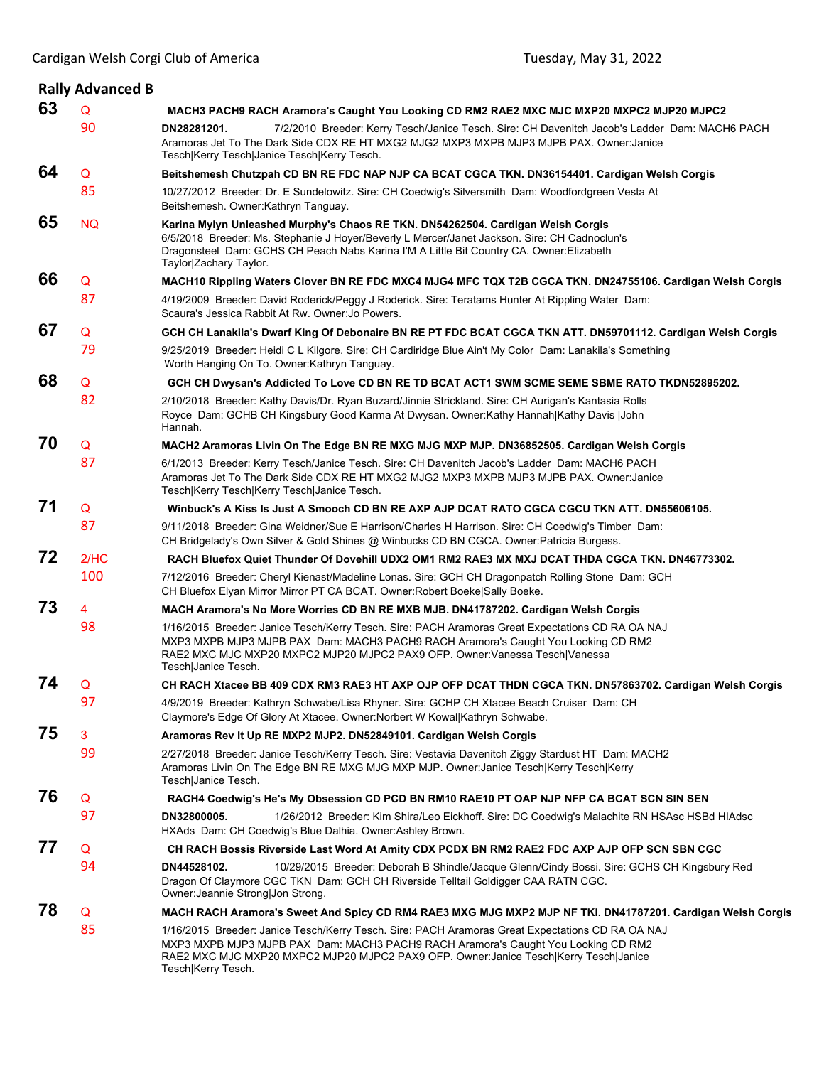|    | <b>Rally Advanced B</b> |                                                                                                                                                                                                                                                                                                       |  |  |
|----|-------------------------|-------------------------------------------------------------------------------------------------------------------------------------------------------------------------------------------------------------------------------------------------------------------------------------------------------|--|--|
| 63 | Q                       | MACH3 PACH9 RACH Aramora's Caught You Looking CD RM2 RAE2 MXC MJC MXP20 MXPC2 MJP20 MJPC2                                                                                                                                                                                                             |  |  |
|    | 90                      | DN28281201.<br>7/2/2010 Breeder: Kerry Tesch/Janice Tesch. Sire: CH Davenitch Jacob's Ladder Dam: MACH6 PACH<br>Aramoras Jet To The Dark Side CDX RE HT MXG2 MJG2 MXP3 MXPB MJP3 MJPB PAX. Owner:Janice<br>Tesch Kerry Tesch Janice Tesch Kerry Tesch.                                                |  |  |
| 64 | Q                       | Beitshemesh Chutzpah CD BN RE FDC NAP NJP CA BCAT CGCA TKN. DN36154401. Cardigan Welsh Corgis                                                                                                                                                                                                         |  |  |
|    | 85                      | 10/27/2012 Breeder: Dr. E Sundelowitz. Sire: CH Coedwig's Silversmith Dam: Woodfordgreen Vesta At<br>Beitshemesh. Owner: Kathryn Tanguay.                                                                                                                                                             |  |  |
| 65 | <b>NQ</b>               | Karina Mylyn Unleashed Murphy's Chaos RE TKN. DN54262504. Cardigan Welsh Corgis<br>6/5/2018 Breeder: Ms. Stephanie J Hoyer/Beverly L Mercer/Janet Jackson. Sire: CH Cadnoclun's<br>Dragonsteel Dam: GCHS CH Peach Nabs Karina I'M A Little Bit Country CA. Owner: Elizabeth<br>Taylor Zachary Taylor. |  |  |
| 66 | Q                       | MACH10 Rippling Waters Clover BN RE FDC MXC4 MJG4 MFC TQX T2B CGCA TKN. DN24755106. Cardigan Welsh Corgis                                                                                                                                                                                             |  |  |
|    | 87                      | 4/19/2009 Breeder: David Roderick/Peggy J Roderick. Sire: Teratams Hunter At Rippling Water Dam:<br>Scaura's Jessica Rabbit At Rw. Owner: Jo Powers.                                                                                                                                                  |  |  |
| 67 | Q                       | GCH CH Lanakila's Dwarf King Of Debonaire BN RE PT FDC BCAT CGCA TKN ATT. DN59701112. Cardigan Welsh Corgis                                                                                                                                                                                           |  |  |
|    | 79                      | 9/25/2019 Breeder: Heidi C L Kilgore. Sire: CH Cardiridge Blue Ain't My Color Dam: Lanakila's Something<br>Worth Hanging On To. Owner: Kathryn Tanguay.                                                                                                                                               |  |  |
| 68 | Q                       | GCH CH Dwysan's Addicted To Love CD BN RE TD BCAT ACT1 SWM SCME SEME SBME RATO TKDN52895202.                                                                                                                                                                                                          |  |  |
|    | 82                      | 2/10/2018 Breeder: Kathy Davis/Dr. Ryan Buzard/Jinnie Strickland. Sire: CH Aurigan's Kantasia Rolls<br>Royce Dam: GCHB CH Kingsbury Good Karma At Dwysan. Owner:Kathy Hannah Kathy Davis JJohn<br>Hannah.                                                                                             |  |  |
| 70 | Q                       | MACH2 Aramoras Livin On The Edge BN RE MXG MJG MXP MJP. DN36852505. Cardigan Welsh Corgis                                                                                                                                                                                                             |  |  |
|    | 87                      | 6/1/2013 Breeder: Kerry Tesch/Janice Tesch. Sire: CH Davenitch Jacob's Ladder Dam: MACH6 PACH<br>Aramoras Jet To The Dark Side CDX RE HT MXG2 MJG2 MXP3 MXPB MJP3 MJPB PAX. Owner: Janice<br>Tesch Kerry Tesch Kerry Tesch Janice Tesch.                                                              |  |  |
| 71 | Q                       | Winbuck's A Kiss Is Just A Smooch CD BN RE AXP AJP DCAT RATO CGCA CGCU TKN ATT. DN55606105.                                                                                                                                                                                                           |  |  |
|    | 87                      | 9/11/2018 Breeder: Gina Weidner/Sue E Harrison/Charles H Harrison. Sire: CH Coedwig's Timber Dam:<br>CH Bridgelady's Own Silver & Gold Shines @ Winbucks CD BN CGCA. Owner:Patricia Burgess.                                                                                                          |  |  |
| 72 | 2/HC                    | RACH Bluefox Quiet Thunder Of Dovehill UDX2 OM1 RM2 RAE3 MX MXJ DCAT THDA CGCA TKN. DN46773302.                                                                                                                                                                                                       |  |  |
|    | 100                     | 7/12/2016 Breeder: Cheryl Kienast/Madeline Lonas. Sire: GCH CH Dragonpatch Rolling Stone Dam: GCH<br>CH Bluefox Elyan Mirror Mirror PT CA BCAT. Owner: Robert Boeke Sally Boeke.                                                                                                                      |  |  |
| 73 | 4                       | MACH Aramora's No More Worries CD BN RE MXB MJB. DN41787202. Cardigan Welsh Corgis                                                                                                                                                                                                                    |  |  |
|    | 98                      | 1/16/2015 Breeder: Janice Tesch/Kerry Tesch. Sire: PACH Aramoras Great Expectations CD RA OA NAJ<br>MXP3 MXPB MJP3 MJPB PAX Dam: MACH3 PACH9 RACH Aramora's Caught You Looking CD RM2<br>RAE2 MXC MJC MXP20 MXPC2 MJP20 MJPC2 PAX9 OFP. Owner:Vanessa Tesch Vanessa<br>Tesch Janice Tesch.            |  |  |
| 74 | Q                       | CH RACH Xtacee BB 409 CDX RM3 RAE3 HT AXP OJP OFP DCAT THDN CGCA TKN. DN57863702. Cardigan Welsh Corgis                                                                                                                                                                                               |  |  |
|    | 97                      | 4/9/2019 Breeder: Kathryn Schwabe/Lisa Rhyner. Sire: GCHP CH Xtacee Beach Cruiser Dam: CH<br>Claymore's Edge Of Glory At Xtacee. Owner: Norbert W Kowall Kathryn Schwabe.                                                                                                                             |  |  |
| 75 | 3                       | Aramoras Rev It Up RE MXP2 MJP2. DN52849101. Cardigan Welsh Corgis                                                                                                                                                                                                                                    |  |  |
|    | 99                      | 2/27/2018 Breeder: Janice Tesch/Kerry Tesch. Sire: Vestavia Davenitch Ziggy Stardust HT Dam: MACH2<br>Aramoras Livin On The Edge BN RE MXG MJG MXP MJP. Owner: Janice Tesch Kerry Tesch Kerry<br>Tesch Janice Tesch.                                                                                  |  |  |
| 76 | Q                       | RACH4 Coedwig's He's My Obsession CD PCD BN RM10 RAE10 PT OAP NJP NFP CA BCAT SCN SIN SEN                                                                                                                                                                                                             |  |  |
|    | 97                      | DN32800005.<br>1/26/2012 Breeder: Kim Shira/Leo Eickhoff. Sire: DC Coedwig's Malachite RN HSAsc HSBd HIAdsc<br>HXAds Dam: CH Coedwig's Blue Dalhia. Owner: Ashley Brown.                                                                                                                              |  |  |
| 77 | Q                       | CH RACH Bossis Riverside Last Word At Amity CDX PCDX BN RM2 RAE2 FDC AXP AJP OFP SCN SBN CGC                                                                                                                                                                                                          |  |  |
|    | 94                      | DN44528102.<br>10/29/2015 Breeder: Deborah B Shindle/Jacque Glenn/Cindy Bossi. Sire: GCHS CH Kingsbury Red<br>Dragon Of Claymore CGC TKN Dam: GCH CH Riverside Telltail Goldigger CAA RATN CGC.<br>Owner: Jeannie Strong Jon Strong.                                                                  |  |  |
| 78 | Q                       | MACH RACH Aramora's Sweet And Spicy CD RM4 RAE3 MXG MJG MXP2 MJP NF TKI. DN41787201. Cardigan Welsh Corgis                                                                                                                                                                                            |  |  |
|    | 85                      | 1/16/2015 Breeder: Janice Tesch/Kerry Tesch. Sire: PACH Aramoras Great Expectations CD RA OA NAJ<br>MXP3 MXPB MJP3 MJPB PAX Dam: MACH3 PACH9 RACH Aramora's Caught You Looking CD RM2<br>RAE2 MXC MJC MXP20 MXPC2 MJP20 MJPC2 PAX9 OFP. Owner:Janice Tesch Kerry Tesch Janice<br>Tesch Kerry Tesch.   |  |  |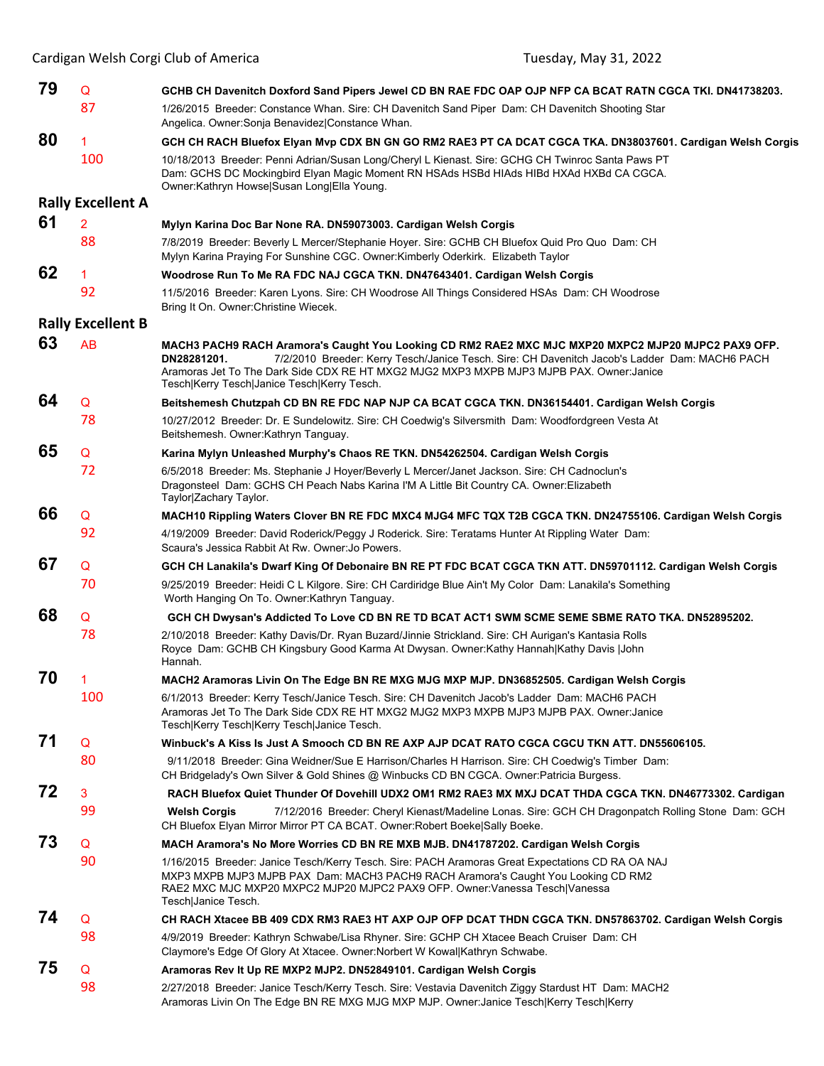|    |                          | Cardigan Welsh Corgi Club of America                                                               | Tuesday, May 31, 2022                                                                                                                                                                                                                                                                            |
|----|--------------------------|----------------------------------------------------------------------------------------------------|--------------------------------------------------------------------------------------------------------------------------------------------------------------------------------------------------------------------------------------------------------------------------------------------------|
| 79 | Q                        |                                                                                                    | GCHB CH Davenitch Doxford Sand Pipers Jewel CD BN RAE FDC OAP OJP NFP CA BCAT RATN CGCA TKI. DN41738203.                                                                                                                                                                                         |
|    | 87                       | Angelica. Owner: Sonja Benavidez Constance Whan.                                                   | 1/26/2015 Breeder: Constance Whan. Sire: CH Davenitch Sand Piper Dam: CH Davenitch Shooting Star                                                                                                                                                                                                 |
| 80 |                          |                                                                                                    | GCH CH RACH Bluefox Elyan Mvp CDX BN GN GO RM2 RAE3 PT CA DCAT CGCA TKA. DN38037601. Cardigan Welsh Corgis                                                                                                                                                                                       |
|    | 100                      | Owner:Kathryn Howse Susan Long Ella Young.                                                         | 10/18/2013 Breeder: Penni Adrian/Susan Long/Cheryl L Kienast. Sire: GCHG CH Twinroc Santa Paws PT<br>Dam: GCHS DC Mockingbird Elyan Magic Moment RN HSAds HSBd HIAds HIBd HXAd HXBd CA CGCA.                                                                                                     |
|    | <b>Rally Excellent A</b> |                                                                                                    |                                                                                                                                                                                                                                                                                                  |
| 61 | 2                        | Mylyn Karina Doc Bar None RA. DN59073003. Cardigan Welsh Corgis                                    |                                                                                                                                                                                                                                                                                                  |
|    | 88                       | Mylyn Karina Praying For Sunshine CGC. Owner: Kimberly Oderkirk. Elizabeth Taylor                  | 7/8/2019 Breeder: Beverly L Mercer/Stephanie Hoyer. Sire: GCHB CH Bluefox Quid Pro Quo Dam: CH                                                                                                                                                                                                   |
| 62 | 1.                       |                                                                                                    | Woodrose Run To Me RA FDC NAJ CGCA TKN. DN47643401. Cardigan Welsh Corgis                                                                                                                                                                                                                        |
|    | 92                       | Bring It On. Owner: Christine Wiecek.                                                              | 11/5/2016 Breeder: Karen Lyons. Sire: CH Woodrose All Things Considered HSAs Dam: CH Woodrose                                                                                                                                                                                                    |
|    | <b>Rally Excellent B</b> |                                                                                                    |                                                                                                                                                                                                                                                                                                  |
| 63 | <b>AB</b>                | DN28281201.<br>Tesch Kerry Tesch Janice Tesch Kerry Tesch.                                         | MACH3 PACH9 RACH Aramora's Caught You Looking CD RM2 RAE2 MXC MJC MXP20 MXPC2 MJP20 MJPC2 PAX9 OFP.<br>7/2/2010 Breeder: Kerry Tesch/Janice Tesch. Sire: CH Davenitch Jacob's Ladder Dam: MACH6 PACH<br>Aramoras Jet To The Dark Side CDX RE HT MXG2 MJG2 MXP3 MXPB MJP3 MJPB PAX. Owner: Janice |
| 64 | Q                        |                                                                                                    | Beitshemesh Chutzpah CD BN RE FDC NAP NJP CA BCAT CGCA TKN. DN36154401. Cardigan Welsh Corgis                                                                                                                                                                                                    |
|    | 78                       | Beitshemesh. Owner: Kathryn Tanguay.                                                               | 10/27/2012 Breeder: Dr. E Sundelowitz. Sire: CH Coedwig's Silversmith Dam: Woodfordgreen Vesta At                                                                                                                                                                                                |
| 65 | Q                        |                                                                                                    | Karina Mylyn Unleashed Murphy's Chaos RE TKN. DN54262504. Cardigan Welsh Corgis                                                                                                                                                                                                                  |
|    | 72                       | Taylor Zachary Taylor.                                                                             | 6/5/2018 Breeder: Ms. Stephanie J Hoyer/Beverly L Mercer/Janet Jackson. Sire: CH Cadnoclun's<br>Dragonsteel Dam: GCHS CH Peach Nabs Karina I'M A Little Bit Country CA. Owner: Elizabeth                                                                                                         |
| 66 | Q                        |                                                                                                    | MACH10 Rippling Waters Clover BN RE FDC MXC4 MJG4 MFC TQX T2B CGCA TKN. DN24755106. Cardigan Welsh Corgis                                                                                                                                                                                        |
|    | 92                       | Scaura's Jessica Rabbit At Rw. Owner: Jo Powers.                                                   | 4/19/2009 Breeder: David Roderick/Peggy J Roderick. Sire: Teratams Hunter At Rippling Water Dam:                                                                                                                                                                                                 |
| 67 | Q                        |                                                                                                    | GCH CH Lanakila's Dwarf King Of Debonaire BN RE PT FDC BCAT CGCA TKN ATT. DN59701112. Cardigan Welsh Corgis                                                                                                                                                                                      |
|    | 70                       | Worth Hanging On To. Owner: Kathryn Tanguay.                                                       | 9/25/2019 Breeder: Heidi C L Kilgore. Sire: CH Cardiridge Blue Ain't My Color Dam: Lanakila's Something                                                                                                                                                                                          |
| 68 | Q                        |                                                                                                    | GCH CH Dwysan's Addicted To Love CD BN RE TD BCAT ACT1 SWM SCME SEME SBME RATO TKA. DN52895202.                                                                                                                                                                                                  |
|    | 78                       | Hannah.                                                                                            | 2/10/2018 Breeder: Kathy Davis/Dr. Ryan Buzard/Jinnie Strickland. Sire: CH Aurigan's Kantasia Rolls<br>Royce Dam: GCHB CH Kingsbury Good Karma At Dwysan. Owner:Kathy Hannah Kathy Davis  John                                                                                                   |
| 70 | 1                        |                                                                                                    | MACH2 Aramoras Livin On The Edge BN RE MXG MJG MXP MJP. DN36852505. Cardigan Welsh Corgis                                                                                                                                                                                                        |
|    | 100                      |                                                                                                    | 6/1/2013 Breeder: Kerry Tesch/Janice Tesch. Sire: CH Davenitch Jacob's Ladder Dam: MACH6 PACH<br>Aramoras Jet To The Dark Side CDX RE HT MXG2 MJG2 MXP3 MXPB MJP3 MJPB PAX. Owner: Janice                                                                                                        |
| 71 | Q                        | Tesch Kerry Tesch Kerry Tesch Janice Tesch.                                                        | Winbuck's A Kiss Is Just A Smooch CD BN RE AXP AJP DCAT RATO CGCA CGCU TKN ATT. DN55606105.                                                                                                                                                                                                      |
|    | 80                       |                                                                                                    | 9/11/2018 Breeder: Gina Weidner/Sue E Harrison/Charles H Harrison. Sire: CH Coedwig's Timber Dam:<br>CH Bridgelady's Own Silver & Gold Shines @ Winbucks CD BN CGCA. Owner:Patricia Burgess.                                                                                                     |
| 72 | 3.                       |                                                                                                    | RACH Bluefox Quiet Thunder Of Dovehill UDX2 OM1 RM2 RAE3 MX MXJ DCAT THDA CGCA TKN. DN46773302. Cardigan                                                                                                                                                                                         |
|    | 99                       | <b>Welsh Corgis</b><br>CH Bluefox Elyan Mirror Mirror PT CA BCAT. Owner: Robert Boeke Sally Boeke. | 7/12/2016 Breeder: Cheryl Kienast/Madeline Lonas. Sire: GCH CH Dragonpatch Rolling Stone Dam: GCH                                                                                                                                                                                                |
| 73 | Q                        |                                                                                                    | MACH Aramora's No More Worries CD BN RE MXB MJB. DN41787202. Cardigan Welsh Corgis                                                                                                                                                                                                               |
|    | 90                       | Tesch Janice Tesch.                                                                                | 1/16/2015 Breeder: Janice Tesch/Kerry Tesch. Sire: PACH Aramoras Great Expectations CD RA OA NAJ<br>MXP3 MXPB MJP3 MJPB PAX Dam: MACH3 PACH9 RACH Aramora's Caught You Looking CD RM2<br>RAE2 MXC MJC MXP20 MXPC2 MJP20 MJPC2 PAX9 OFP. Owner: Vanessa Tesch Vanessa                             |
| 74 | Q                        |                                                                                                    | CH RACH Xtacee BB 409 CDX RM3 RAE3 HT AXP OJP OFP DCAT THDN CGCA TKN. DN57863702. Cardigan Welsh Corgis                                                                                                                                                                                          |
|    | 98                       | Claymore's Edge Of Glory At Xtacee. Owner: Norbert W Kowal Kathryn Schwabe.                        | 4/9/2019 Breeder: Kathryn Schwabe/Lisa Rhyner. Sire: GCHP CH Xtacee Beach Cruiser Dam: CH                                                                                                                                                                                                        |
| 75 | Q                        | Aramoras Rev It Up RE MXP2 MJP2. DN52849101. Cardigan Welsh Corgis                                 |                                                                                                                                                                                                                                                                                                  |
|    | 98                       |                                                                                                    | 2/27/2018 Breeder: Janice Tesch/Kerry Tesch. Sire: Vestavia Davenitch Ziggy Stardust HT Dam: MACH2<br>Aramoras Livin On The Edge BN RE MXG MJG MXP MJP. Owner: Janice Tesch Kerry Tesch Kerry                                                                                                    |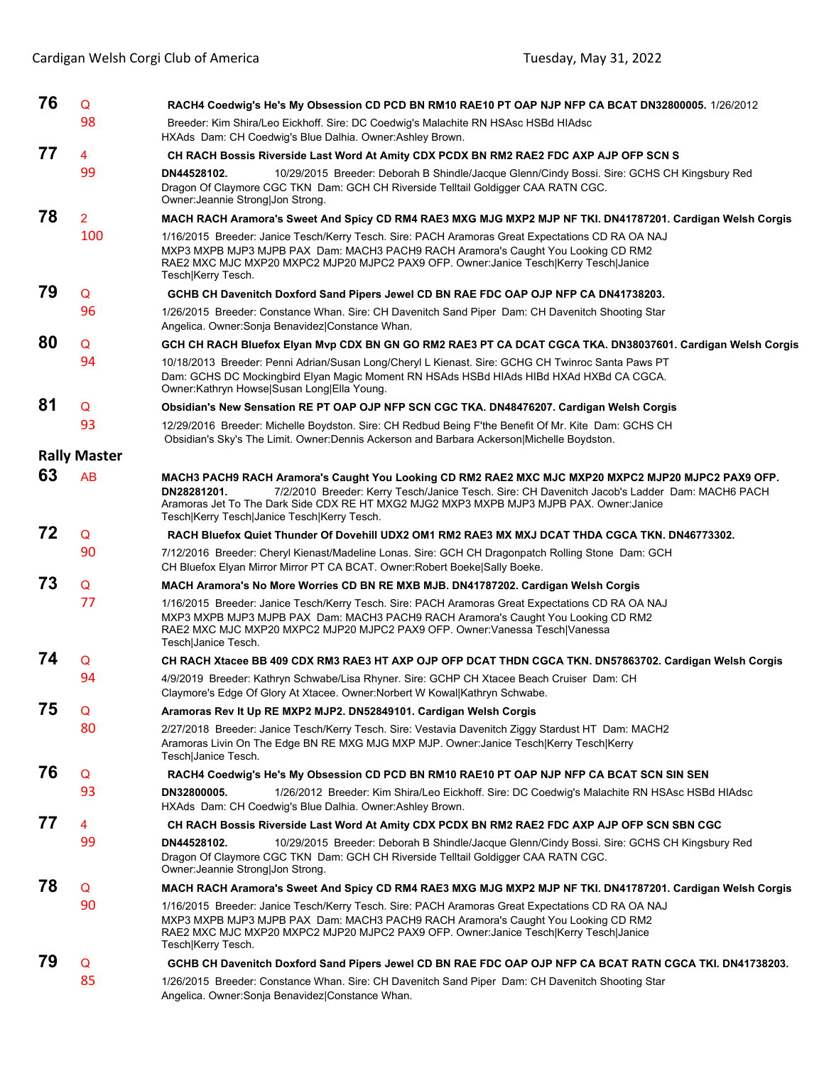| 76 | Q                   | RACH4 Coedwig's He's My Obsession CD PCD BN RM10 RAE10 PT OAP NJP NFP CA BCAT DN32800005. 1/26/2012                                                                                                                                                                                                                                                            |  |
|----|---------------------|----------------------------------------------------------------------------------------------------------------------------------------------------------------------------------------------------------------------------------------------------------------------------------------------------------------------------------------------------------------|--|
|    | 98                  | Breeder: Kim Shira/Leo Eickhoff. Sire: DC Coedwig's Malachite RN HSAsc HSBd HIAdsc<br>HXAds Dam: CH Coedwig's Blue Dalhia. Owner: Ashley Brown.                                                                                                                                                                                                                |  |
| 77 | 4                   | CH RACH Bossis Riverside Last Word At Amity CDX PCDX BN RM2 RAE2 FDC AXP AJP OFP SCN S                                                                                                                                                                                                                                                                         |  |
|    | 99                  | 10/29/2015 Breeder: Deborah B Shindle/Jacque Glenn/Cindy Bossi. Sire: GCHS CH Kingsbury Red<br>DN44528102.<br>Dragon Of Claymore CGC TKN Dam: GCH CH Riverside Telltail Goldigger CAA RATN CGC.<br>Owner: Jeannie Strong Jon Strong.                                                                                                                           |  |
| 78 | 2                   | MACH RACH Aramora's Sweet And Spicy CD RM4 RAE3 MXG MJG MXP2 MJP NF TKI. DN41787201. Cardigan Welsh Corgis                                                                                                                                                                                                                                                     |  |
|    | 100                 | 1/16/2015 Breeder: Janice Tesch/Kerry Tesch. Sire: PACH Aramoras Great Expectations CD RA OA NAJ<br>MXP3 MXPB MJP3 MJPB PAX Dam: MACH3 PACH9 RACH Aramora's Caught You Looking CD RM2<br>RAE2 MXC MJC MXP20 MXPC2 MJP20 MJPC2 PAX9 OFP. Owner:Janice Tesch Kerry Tesch Janice<br>Tesch Kerry Tesch.                                                            |  |
| 79 | Q                   | GCHB CH Davenitch Doxford Sand Pipers Jewel CD BN RAE FDC OAP OJP NFP CA DN41738203.                                                                                                                                                                                                                                                                           |  |
|    | 96                  | 1/26/2015 Breeder: Constance Whan. Sire: CH Davenitch Sand Piper Dam: CH Davenitch Shooting Star<br>Angelica. Owner: Sonja Benavidez Constance Whan.                                                                                                                                                                                                           |  |
| 80 | Q                   | GCH CH RACH Bluefox Elyan Mvp CDX BN GN GO RM2 RAE3 PT CA DCAT CGCA TKA. DN38037601. Cardigan Welsh Corgis                                                                                                                                                                                                                                                     |  |
|    | 94                  | 10/18/2013 Breeder: Penni Adrian/Susan Long/Cheryl L Kienast. Sire: GCHG CH Twinroc Santa Paws PT<br>Dam: GCHS DC Mockingbird Elyan Magic Moment RN HSAds HSBd HIAds HIBd HXAd HXBd CA CGCA.<br>Owner:Kathryn Howse Susan Long Ella Young.                                                                                                                     |  |
| 81 | Q                   | Obsidian's New Sensation RE PT OAP OJP NFP SCN CGC TKA. DN48476207. Cardigan Welsh Corgis                                                                                                                                                                                                                                                                      |  |
|    | 93                  | 12/29/2016 Breeder: Michelle Boydston. Sire: CH Redbud Being F'the Benefit Of Mr. Kite Dam: GCHS CH<br>Obsidian's Sky's The Limit. Owner: Dennis Ackerson and Barbara Ackerson Michelle Boydston.                                                                                                                                                              |  |
|    | <b>Rally Master</b> |                                                                                                                                                                                                                                                                                                                                                                |  |
| 63 | <b>AB</b>           | MACH3 PACH9 RACH Aramora's Caught You Looking CD RM2 RAE2 MXC MJC MXP20 MXPC2 MJP20 MJPC2 PAX9 OFP.<br>7/2/2010 Breeder: Kerry Tesch/Janice Tesch. Sire: CH Davenitch Jacob's Ladder Dam: MACH6 PACH<br>DN28281201.<br>Aramoras Jet To The Dark Side CDX RE HT MXG2 MJG2 MXP3 MXPB MJP3 MJPB PAX. Owner: Janice<br>Tesch Kerry Tesch Janice Tesch Kerry Tesch. |  |
| 72 | Q                   | RACH Bluefox Quiet Thunder Of Dovehill UDX2 OM1 RM2 RAE3 MX MXJ DCAT THDA CGCA TKN. DN46773302.                                                                                                                                                                                                                                                                |  |
|    | 90                  | 7/12/2016 Breeder: Cheryl Kienast/Madeline Lonas. Sire: GCH CH Dragonpatch Rolling Stone Dam: GCH<br>CH Bluefox Elyan Mirror Mirror PT CA BCAT. Owner: Robert Boeke Sally Boeke.                                                                                                                                                                               |  |
| 73 | Q                   | MACH Aramora's No More Worries CD BN RE MXB MJB. DN41787202. Cardigan Welsh Corgis                                                                                                                                                                                                                                                                             |  |
|    | 77                  | 1/16/2015 Breeder: Janice Tesch/Kerry Tesch. Sire: PACH Aramoras Great Expectations CD RA OA NAJ<br>MXP3 MXPB MJP3 MJPB PAX Dam: MACH3 PACH9 RACH Aramora's Caught You Looking CD RM2<br>RAE2 MXC MJC MXP20 MXPC2 MJP20 MJPC2 PAX9 OFP. Owner:Vanessa Tesch Vanessa<br>Tesch Janice Tesch.                                                                     |  |
| 74 | Q                   | CH RACH Xtacee BB 409 CDX RM3 RAE3 HT AXP OJP OFP DCAT THDN CGCA TKN. DN57863702. Cardigan Welsh Corgis                                                                                                                                                                                                                                                        |  |
|    | 94                  | 4/9/2019 Breeder: Kathryn Schwabe/Lisa Rhyner. Sire: GCHP CH Xtacee Beach Cruiser Dam: CH<br>Claymore's Edge Of Glory At Xtacee. Owner:Norbert W Kowal Kathryn Schwabe.                                                                                                                                                                                        |  |
| 75 | Q                   | Aramoras Rev It Up RE MXP2 MJP2. DN52849101. Cardigan Welsh Corgis                                                                                                                                                                                                                                                                                             |  |
|    | 80                  | 2/27/2018 Breeder: Janice Tesch/Kerry Tesch. Sire: Vestavia Davenitch Ziggy Stardust HT Dam: MACH2<br>Aramoras Livin On The Edge BN RE MXG MJG MXP MJP. Owner: Janice Tesch Kerry Tesch Kerry<br>Tesch Janice Tesch.                                                                                                                                           |  |
| 76 | Q                   | RACH4 Coedwig's He's My Obsession CD PCD BN RM10 RAE10 PT OAP NJP NFP CA BCAT SCN SIN SEN                                                                                                                                                                                                                                                                      |  |
|    | 93                  | DN32800005.<br>1/26/2012 Breeder: Kim Shira/Leo Eickhoff. Sire: DC Coedwig's Malachite RN HSAsc HSBd HIAdsc<br>HXAds Dam: CH Coedwig's Blue Dalhia. Owner: Ashley Brown.                                                                                                                                                                                       |  |
| 77 | 4                   | CH RACH Bossis Riverside Last Word At Amity CDX PCDX BN RM2 RAE2 FDC AXP AJP OFP SCN SBN CGC                                                                                                                                                                                                                                                                   |  |
|    | 99                  | 10/29/2015 Breeder: Deborah B Shindle/Jacque Glenn/Cindy Bossi. Sire: GCHS CH Kingsbury Red<br>DN44528102.<br>Dragon Of Claymore CGC TKN Dam: GCH CH Riverside Telltail Goldigger CAA RATN CGC.<br>Owner: Jeannie Strong Jon Strong.                                                                                                                           |  |
| 78 | Q                   | MACH RACH Aramora's Sweet And Spicy CD RM4 RAE3 MXG MJG MXP2 MJP NF TKI. DN41787201. Cardigan Welsh Corgis                                                                                                                                                                                                                                                     |  |
|    | 90                  | 1/16/2015 Breeder: Janice Tesch/Kerry Tesch. Sire: PACH Aramoras Great Expectations CD RA OA NAJ<br>MXP3 MXPB MJP3 MJPB PAX Dam: MACH3 PACH9 RACH Aramora's Caught You Looking CD RM2<br>RAE2 MXC MJC MXP20 MXPC2 MJP20 MJPC2 PAX9 OFP. Owner:Janice Tesch Kerry Tesch Janice<br>Tesch Kerry Tesch.                                                            |  |
| 79 | Q                   | GCHB CH Davenitch Doxford Sand Pipers Jewel CD BN RAE FDC OAP OJP NFP CA BCAT RATN CGCA TKI. DN41738203.                                                                                                                                                                                                                                                       |  |
|    | 85                  | 1/26/2015 Breeder: Constance Whan. Sire: CH Davenitch Sand Piper Dam: CH Davenitch Shooting Star<br>Angelica. Owner: Sonja Benavidez Constance Whan.                                                                                                                                                                                                           |  |